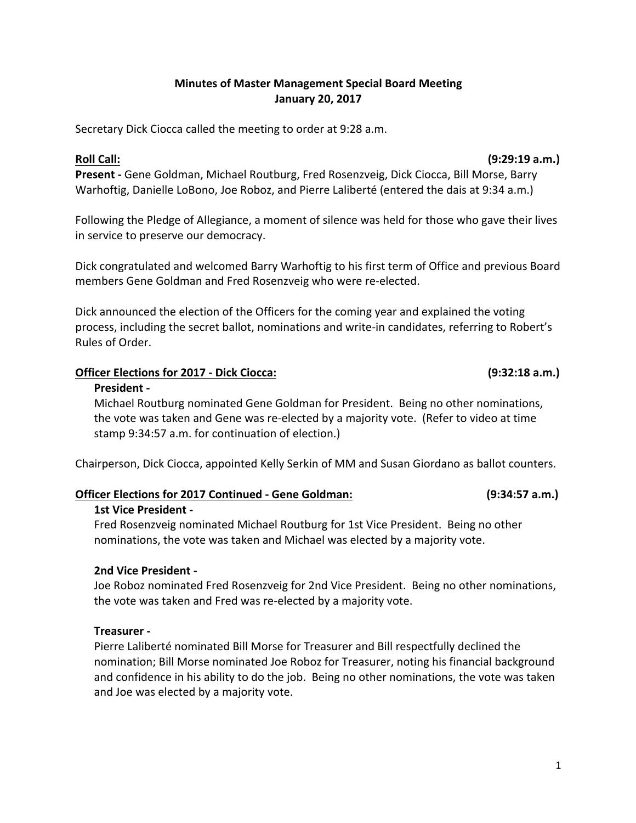### **Minutes of Master Management Special Board Meeting January 20, 2017**

Secretary Dick Ciocca called the meeting to order at 9:28 a.m.

**Roll Call:** (9:29:19 **a.m.**)

**Present** - Gene Goldman, Michael Routburg, Fred Rosenzveig, Dick Ciocca, Bill Morse, Barry Warhoftig, Danielle LoBono, Joe Roboz, and Pierre Laliberté (entered the dais at 9:34 a.m.)

Following the Pledge of Allegiance, a moment of silence was held for those who gave their lives in service to preserve our democracy.

Dick congratulated and welcomed Barry Warhoftig to his first term of Office and previous Board members Gene Goldman and Fred Rosenzveig who were re-elected.

Dick announced the election of the Officers for the coming year and explained the voting process, including the secret ballot, nominations and write-in candidates, referring to Robert's Rules of Order.

### **Officer Elections for 2017 - Dick Ciocca: (9:32:18 a.m.)**

### **President -**

Michael Routburg nominated Gene Goldman for President. Being no other nominations, the vote was taken and Gene was re-elected by a majority vote. (Refer to video at time stamp 9:34:57 a.m. for continuation of election.)

Chairperson, Dick Ciocca, appointed Kelly Serkin of MM and Susan Giordano as ballot counters.

### **Officer Elections for 2017 Continued - Gene Goldman: (9:34:57 a.m.)**

### **1st Vice President -**

Fred Rosenzveig nominated Michael Routburg for 1st Vice President. Being no other nominations, the vote was taken and Michael was elected by a majority vote.

### **2nd Vice President -**

Joe Roboz nominated Fred Rosenzveig for 2nd Vice President. Being no other nominations, the vote was taken and Fred was re-elected by a majority vote.

### **Treasurer -**

Pierre Laliberté nominated Bill Morse for Treasurer and Bill respectfully declined the nomination; Bill Morse nominated Joe Roboz for Treasurer, noting his financial background and confidence in his ability to do the job. Being no other nominations, the vote was taken and Joe was elected by a majority vote.